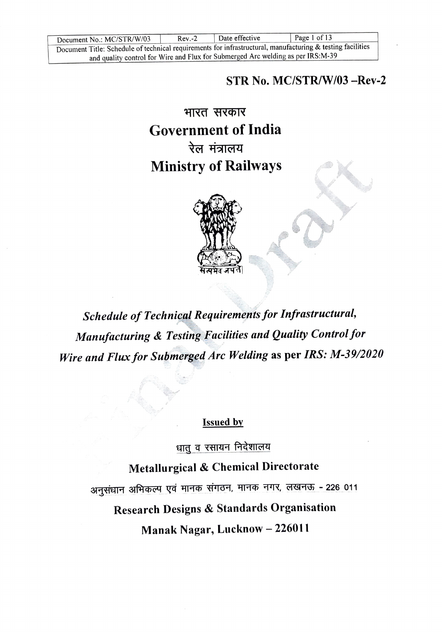Document No.: MC/STR/W/03 Rev.-2 Date effective | Page 1 of 13<br>Document Title: Schedule of technical requirements for infrastructural, manufacturing & testing facilities and quality control for Wire and Flux for Submerged Arc welding as per IRS:M-39

STR No. MC/STR/W/03-Rev-2

भारत सरकार Government of India रेल मंत्रालय Ministry of Railways



Schedule of Technical Requirements for Infrastructural, Manufacturing & Testing Fucilities and Quality Control for Wire and Flux for Submerged Arc Welding as per IRS: M-39/2020

Issued by

धात व रसायन निदेशालय

Metallurgical & Chemical Directorate

अनुसंधान अभिकल्प एवं मानक संगठन, मानक नगर, लखनऊ 226 011

Research Designs & Standards Organisation

Manak Nagar, Lucknow - 226011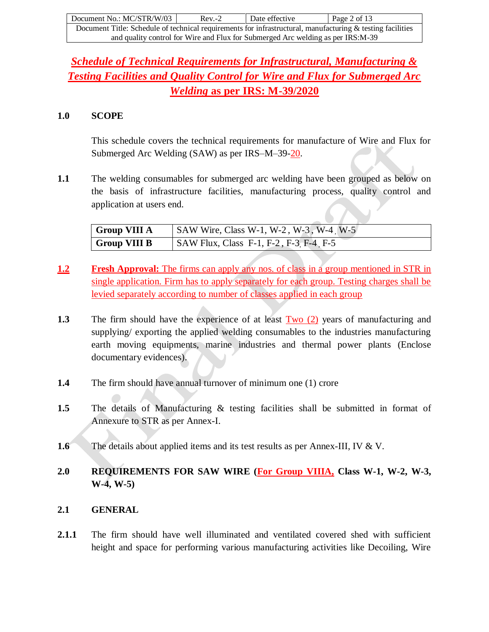| Document No.: MC/STR/W/03                                                                                  | $Rev-2$ | Date effective | Page 2 of 13 |  |
|------------------------------------------------------------------------------------------------------------|---------|----------------|--------------|--|
| Document Title: Schedule of technical requirements for infrastructural, manufacturing & testing facilities |         |                |              |  |
| and quality control for Wire and Flux for Submerged Arc welding as per IRS:M-39                            |         |                |              |  |

# *Schedule of Technical Requirements for Infrastructural, Manufacturing & Testing Facilities and Quality Control for Wire and Flux for Submerged Arc Welding* **as per IRS: M-39/2020**

#### **1.0 SCOPE**

This schedule covers the technical requirements for manufacture of Wire and Flux for Submerged Arc Welding (SAW) as per IRS–M–39-20.

**1.1** The welding consumables for submerged arc welding have been grouped as below on the basis of infrastructure facilities, manufacturing process, quality control and application at users end.

| <b>Group VIII A</b> | $\vert$ SAW Wire, Class W-1, W-2, W-3, W-4 W-5  |
|---------------------|-------------------------------------------------|
| <b>Group VIII B</b> | $\vert$ SAW Flux, Class F-1, F-2, F-3, F-4, F-5 |

- **1.2 Fresh Approval:** The firms can apply any nos. of class in a group mentioned in STR in single application. Firm has to apply separately for each group. Testing charges shall be levied separately according to number of classes applied in each group
- **1.3** The firm should have the experience of at least Two (2) years of manufacturing and supplying/ exporting the applied welding consumables to the industries manufacturing earth moving equipments, marine industries and thermal power plants (Enclose documentary evidences).
- **1.4** The firm should have annual turnover of minimum one (1) crore
- **1.5** The details of Manufacturing & testing facilities shall be submitted in format of Annexure to STR as per Annex-I.
- **1.6** The details about applied items and its test results as per Annex-III, IV & V.
- **2.0 REQUIREMENTS FOR SAW WIRE (For Group VIIIA, Class W-1, W-2, W-3, W-4, W-5)**

## **2.1 GENERAL**

**2.1.1** The firm should have well illuminated and ventilated covered shed with sufficient height and space for performing various manufacturing activities like Decoiling, Wire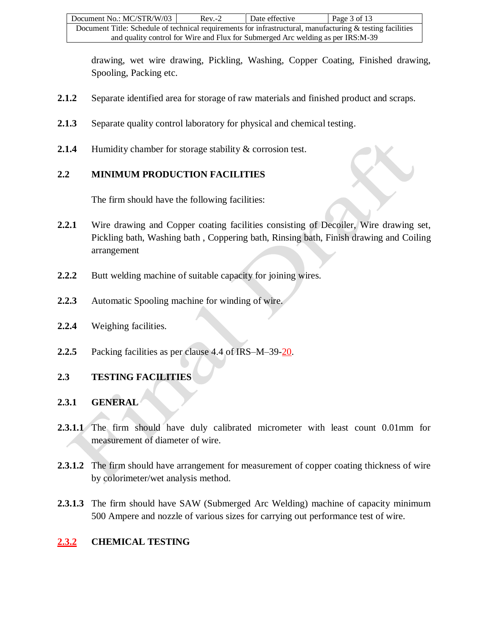drawing, wet wire drawing, Pickling, Washing, Copper Coating, Finished drawing, Spooling, Packing etc.

- **2.1.2** Separate identified area for storage of raw materials and finished product and scraps.
- **2.1.3** Separate quality control laboratory for physical and chemical testing.
- **2.1.4** Humidity chamber for storage stability & corrosion test.

## **2.2 MINIMUM PRODUCTION FACILITIES**

The firm should have the following facilities:

- 2.2.1 Wire drawing and Copper coating facilities consisting of Decoiler, Wire drawing set, Pickling bath, Washing bath , Coppering bath, Rinsing bath, Finish drawing and Coiling arrangement
- **2.2.2** Butt welding machine of suitable capacity for joining wires.
- **2.2.3** Automatic Spooling machine for winding of wire.
- **2.2.4** Weighing facilities.
- **2.2.5** Packing facilities as per clause 4.4 of IRS–M–39-20.

# **2.3 TESTING FACILITIES**

## **2.3.1 GENERAL**

- **2.3.1.1** The firm should have duly calibrated micrometer with least count 0.01mm for measurement of diameter of wire.
- **2.3.1.2** The firm should have arrangement for measurement of copper coating thickness of wire by colorimeter/wet analysis method.
- **2.3.1.3** The firm should have SAW (Submerged Arc Welding) machine of capacity minimum 500 Ampere and nozzle of various sizes for carrying out performance test of wire.

# **2.3.2 CHEMICAL TESTING**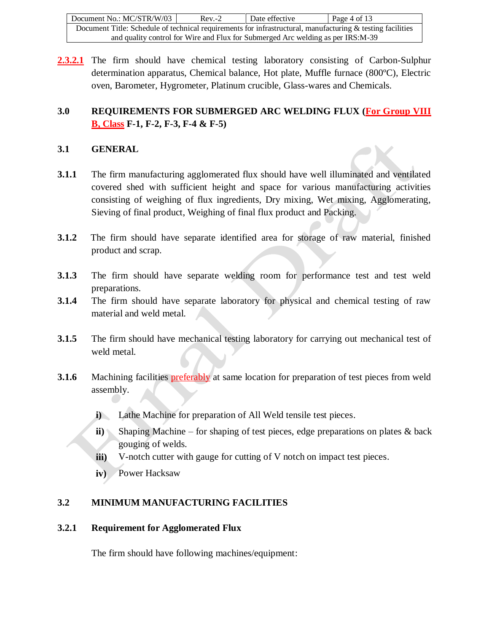| Document No.: MC/STR/W/03                                                                                  | $Rev - 2$ | Date effective | Page 4 of 13 |  |
|------------------------------------------------------------------------------------------------------------|-----------|----------------|--------------|--|
| Document Title: Schedule of technical requirements for infrastructural, manufacturing & testing facilities |           |                |              |  |
| and quality control for Wire and Flux for Submerged Arc welding as per IRS:M-39                            |           |                |              |  |

**2.3.2.1** The firm should have chemical testing laboratory consisting of Carbon-Sulphur determination apparatus, Chemical balance, Hot plate, Muffle furnace (800ºC), Electric oven, Barometer, Hygrometer, Platinum crucible, Glass-wares and Chemicals.

# **3.0 REQUIREMENTS FOR SUBMERGED ARC WELDING FLUX (For Group VIII B, Class F-1, F-2, F-3, F-4 & F-5)**

## **3.1 GENERAL**

- **3.1.1** The firm manufacturing agglomerated flux should have well illuminated and ventilated covered shed with sufficient height and space for various manufacturing activities consisting of weighing of flux ingredients, Dry mixing, Wet mixing, Agglomerating, Sieving of final product, Weighing of final flux product and Packing.
- **3.1.2** The firm should have separate identified area for storage of raw material, finished product and scrap.
- **3.1.3** The firm should have separate welding room for performance test and test weld preparations.
- **3.1.4** The firm should have separate laboratory for physical and chemical testing of raw material and weld metal.
- **3.1.5** The firm should have mechanical testing laboratory for carrying out mechanical test of weld metal.
- **3.1.6** Machining facilities **preferably** at same location for preparation of test pieces from weld assembly.
	- **i)** Lathe Machine for preparation of All Weld tensile test pieces.
	- **ii)** Shaping Machine for shaping of test pieces, edge preparations on plates & back gouging of welds.
	- **iii)** V-notch cutter with gauge for cutting of V notch on impact test pieces.
	- **iv)** Power Hacksaw

# **3.2 MINIMUM MANUFACTURING FACILITIES**

## **3.2.1 Requirement for Agglomerated Flux**

The firm should have following machines/equipment: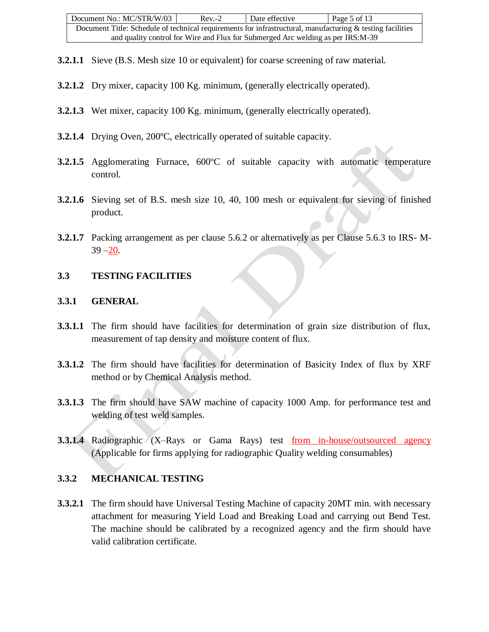- **3.2.1.1** Sieve (B.S. Mesh size 10 or equivalent) for coarse screening of raw material.
- **3.2.1.2** Dry mixer, capacity 100 Kg. minimum, (generally electrically operated).
- **3.2.1.3** Wet mixer, capacity 100 Kg. minimum, (generally electrically operated).
- **3.2.1.4** Drying Oven, 200ºC, electrically operated of suitable capacity.
- **3.2.1.5** Agglomerating Furnace, 600°C of suitable capacity with automatic temperature control.
- **3.2.1.6** Sieving set of B.S. mesh size 10, 40, 100 mesh or equivalent for sieving of finished product.
- **3.2.1.7** Packing arrangement as per clause 5.6.2 or alternatively as per Clause 5.6.3 to IRS- M- $39 - 20.$

#### **3.3 TESTING FACILITIES**

#### **3.3.1 GENERAL**

- **3.3.1.1** The firm should have facilities for determination of grain size distribution of flux, measurement of tap density and moisture content of flux.
- **3.3.1.2** The firm should have facilities for determination of Basicity Index of flux by XRF method or by Chemical Analysis method.
- **3.3.1.3** The firm should have SAW machine of capacity 1000 Amp. for performance test and welding of test weld samples.
- **3.3.1.4** Radiographic (X–Rays or Gama Rays) test from in-house/outsourced agency (Applicable for firms applying for radiographic Quality welding consumables)

## **3.3.2 MECHANICAL TESTING**

**3.3.2.1** The firm should have Universal Testing Machine of capacity 20MT min. with necessary attachment for measuring Yield Load and Breaking Load and carrying out Bend Test. The machine should be calibrated by a recognized agency and the firm should have valid calibration certificate.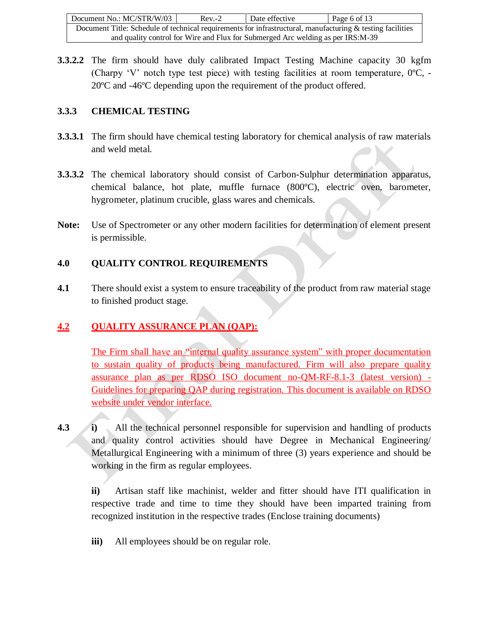| Document No.: MC/STR/W/03                                                                                  | $Rev - 2$ | Date effective | Page 6 of 13 |  |
|------------------------------------------------------------------------------------------------------------|-----------|----------------|--------------|--|
| Document Title: Schedule of technical requirements for infrastructural, manufacturing & testing facilities |           |                |              |  |
| and quality control for Wire and Flux for Submerged Arc welding as per IRS:M-39                            |           |                |              |  |

**3.3.2.2** The firm should have duly calibrated Impact Testing Machine capacity 30 kgfm (Charpy 'V' notch type test piece) with testing facilities at room temperature,  $0^{\circ}$ C, -20ºC and -46ºC depending upon the requirement of the product offered.

## **3.3.3 CHEMICAL TESTING**

- **3.3.3.1** The firm should have chemical testing laboratory for chemical analysis of raw materials and weld metal.
- **3.3.3.2** The chemical laboratory should consist of Carbon-Sulphur determination apparatus, chemical balance, hot plate, muffle furnace (800ºC), electric oven, barometer, hygrometer, platinum crucible, glass wares and chemicals.
- **Note:** Use of Spectrometer or any other modern facilities for determination of element present is permissible.

## **4.0 QUALITY CONTROL REQUIREMENTS**

**4.1** There should exist a system to ensure traceability of the product from raw material stage to finished product stage.

# **4.2 QUALITY ASSURANCE PLAN (QAP):**

The Firm shall have an "internal quality assurance system" with proper documentation to sustain quality of products being manufactured. Firm will also prepare quality assurance plan as per RDSO ISO document no-QM-RF-8.1-3 (latest version) - Guidelines for preparing QAP during registration. This document is available on RDSO website under vendor interface.

**4.3 i)** All the technical personnel responsible for supervision and handling of products and quality control activities should have Degree in Mechanical Engineering/ Metallurgical Engineering with a minimum of three (3) years experience and should be working in the firm as regular employees.

**ii)** Artisan staff like machinist, welder and fitter should have ITI qualification in respective trade and time to time they should have been imparted training from recognized institution in the respective trades (Enclose training documents)

**iii)** All employees should be on regular role.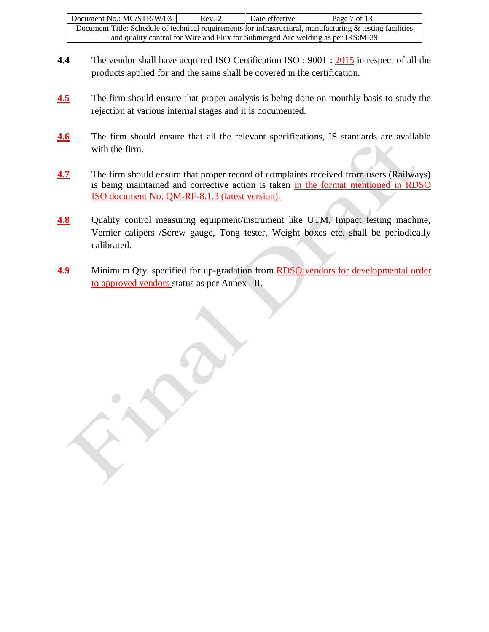| Document No.: MC/STR/W/03                                                                                  | $Rev - 2$ | Date effective | Page 7 of 13 |  |
|------------------------------------------------------------------------------------------------------------|-----------|----------------|--------------|--|
| Document Title: Schedule of technical requirements for infrastructural, manufacturing & testing facilities |           |                |              |  |
| and quality control for Wire and Flux for Submerged Arc welding as per IRS:M-39                            |           |                |              |  |

- **4.4** The vendor shall have acquired ISO Certification ISO : 9001 : 2015 in respect of all the products applied for and the same shall be covered in the certification.
- **4.5** The firm should ensure that proper analysis is being done on monthly basis to study the rejection at various internal stages and it is documented.
- **4.6** The firm should ensure that all the relevant specifications, IS standards are available with the firm.
- **4.7** The firm should ensure that proper record of complaints received from users (Railways) is being maintained and corrective action is taken in the format mentioned in RDSO ISO document No. QM-RF-8.1.3 (latest version).
- **4.8** Quality control measuring equipment/instrument like UTM, Impact testing machine, Vernier calipers /Screw gauge, Tong tester, Weight boxes etc. shall be periodically calibrated.
- **4.9** Minimum Qty. specified for up-gradation from RDSO vendors for developmental order to approved vendors status as per Annex –II.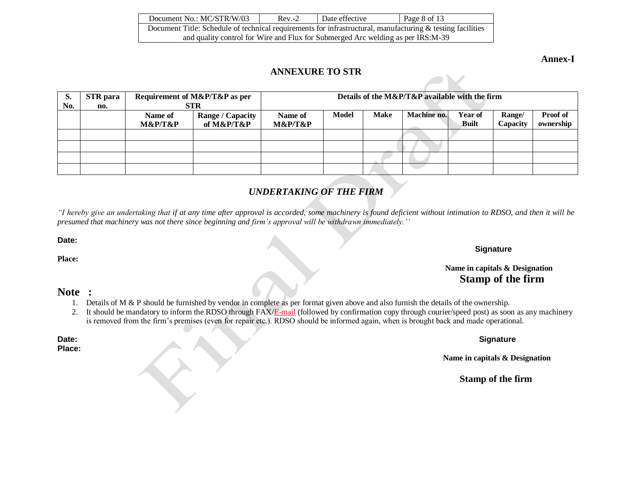| Document No.: MC/STR/W/03                                                                                     | $Rev - 2$ | Date effective | Page 8 of 13 |  |
|---------------------------------------------------------------------------------------------------------------|-----------|----------------|--------------|--|
| Document Title: Schedule of technical requirements for infrastructural, manufacturing $\&$ testing facilities |           |                |              |  |
| and quality control for Wire and Flux for Submerged Arc welding as per IRS:M-39                               |           |                |              |  |

**Annex-I**

#### **ANNEXURE TO STR**

| S.  | <b>STR</b> para |         | Requirement of M&P/T&P as per |         |       |             | Details of the M&P/T&P available with the firm |                |          |                 |
|-----|-----------------|---------|-------------------------------|---------|-------|-------------|------------------------------------------------|----------------|----------|-----------------|
| No. | no.             |         | <b>STR</b>                    |         |       |             |                                                |                |          |                 |
|     |                 | Name of | <b>Range / Capacity</b>       | Name of | Model | <b>Make</b> | Machine no.                                    | <b>Year of</b> | Range/   | <b>Proof of</b> |
|     |                 | M&P/T&P | of M&P/T&P                    | M&P/T&P |       |             |                                                | <b>Built</b>   | Capacity | ownership       |
|     |                 |         |                               |         |       |             |                                                |                |          |                 |
|     |                 |         |                               |         |       |             |                                                |                |          |                 |
|     |                 |         |                               |         |       |             |                                                |                |          |                 |
|     |                 |         |                               |         |       |             |                                                |                |          |                 |

# *UNDERTAKING OF THE FIRM*

*"I hereby give an undertaking that if at any time after approval is accorded, some machinery is found deficient without intimation to RDSO, and then it will be presumed that machinery was not there since beginning and firm's approval will be withdrawn immediately.''*

**Date:** 

**Place:**

#### **Signature**

## **Name in capitals & Designation Stamp of the firm**

#### **Note :**

**Place:**

- 1. Details of M & P should be furnished by vendor in complete as per format given above and also furnish the details of the ownership.
- 2. It should be mandatory to inform the RDSO through FAX/E-mail (followed by confirmation copy through courier/speed post) as soon as any machinery is removed from the firm's premises (even for repair etc.). RDSO should be informed again, when is brought back and made operational.

**Date: Signature**

 **Name in capitals & Designation**

**Stamp of the firm**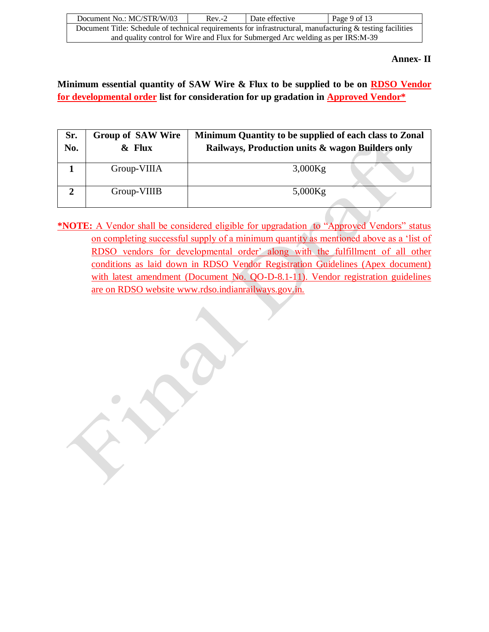| Document No.: MC/STR/W/03                                                                                  | $Rev-2$ | Date effective | Page 9 of 13 |  |
|------------------------------------------------------------------------------------------------------------|---------|----------------|--------------|--|
| Document Title: Schedule of technical requirements for infrastructural, manufacturing & testing facilities |         |                |              |  |
| and quality control for Wire and Flux for Submerged Arc welding as per IRS:M-39                            |         |                |              |  |

#### **Annex- II**

**Minimum essential quantity of SAW Wire & Flux to be supplied to be on RDSO Vendor for developmental order list for consideration for up gradation in Approved Vendor\***

| Sr.<br>No. | <b>Group of SAW Wire</b><br>$&$ Flux | Minimum Quantity to be supplied of each class to Zonal<br>Railways, Production units & wagon Builders only |
|------------|--------------------------------------|------------------------------------------------------------------------------------------------------------|
|            | Group-VIIIA                          | $3,000$ Kg                                                                                                 |
|            | Group-VIIIB                          | $5,000$ Kg                                                                                                 |

**\*NOTE:** A Vendor shall be considered eligible for upgradation to "Approved Vendors" status on completing successful supply of a minimum quantity as mentioned above as a 'list of RDSO vendors for developmental order' along with the fulfillment of all other conditions as laid down in RDSO Vendor Registration Guidelines (Apex document) with latest amendment (Document No. QO-D-8.1-11). Vendor registration guidelines are on RDSO website [www.rdso.indianrailways.gov.in.](http://www.rdso.indianrailways.gov.in/)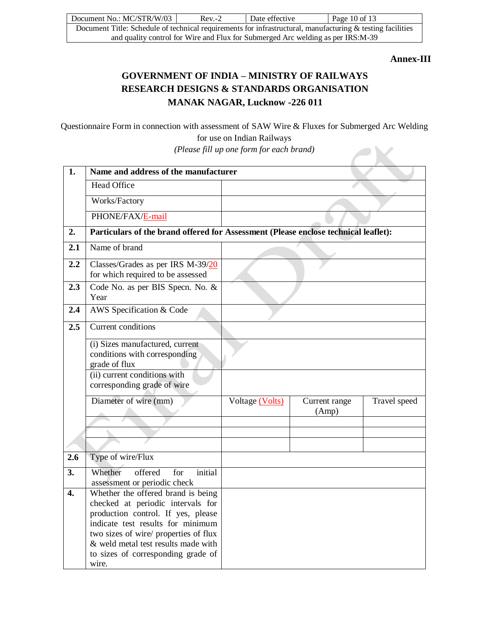| Document No.: MC/STR/W/03                                                                                  | $Rev - 2$ | Date effective | Page 10 of 13 |  |
|------------------------------------------------------------------------------------------------------------|-----------|----------------|---------------|--|
| Document Title: Schedule of technical requirements for infrastructural, manufacturing & testing facilities |           |                |               |  |
| and quality control for Wire and Flux for Submerged Arc welding as per IRS:M-39                            |           |                |               |  |

**Annex-III**

# **GOVERNMENT OF INDIA – MINISTRY OF RAILWAYS RESEARCH DESIGNS & STANDARDS ORGANISATION MANAK NAGAR, Lucknow -226 011**

Questionnaire Form in connection with assessment of SAW Wire & Fluxes for Submerged Arc Welding for use on Indian Railways

*(Please fill up one form for each brand)*

| $\overline{1}$ . | Name and address of the manufacturer                                                |                 |                        |              |
|------------------|-------------------------------------------------------------------------------------|-----------------|------------------------|--------------|
|                  | <b>Head Office</b>                                                                  |                 |                        |              |
|                  | Works/Factory                                                                       |                 |                        |              |
|                  | PHONE/FAX/E-mail                                                                    |                 |                        |              |
| 2.               | Particulars of the brand offered for Assessment (Please enclose technical leaflet): |                 |                        |              |
| 2.1              | Name of brand                                                                       |                 |                        |              |
| 2.2              | Classes/Grades as per IRS M-39/20<br>for which required to be assessed              |                 |                        |              |
| 2.3              | Code No. as per BIS Specn. No. &<br>Year                                            |                 |                        |              |
| 2.4              | AWS Specification $\overline{\&$ Code                                               |                 |                        |              |
| 2.5              | Current conditions                                                                  |                 |                        |              |
|                  | (i) Sizes manufactured, current<br>conditions with corresponding<br>grade of flux   |                 |                        |              |
|                  | (ii) current conditions with<br>corresponding grade of wire                         |                 |                        |              |
|                  | Diameter of wire (mm)                                                               | Voltage (Volts) | Current range<br>(Amp) | Travel speed |
|                  |                                                                                     |                 |                        |              |
|                  |                                                                                     |                 |                        |              |
| 2.6              | Type of wire/Flux                                                                   |                 |                        |              |
| 3.               | initial<br>Whether<br>offered<br>for                                                |                 |                        |              |
| $\overline{4}$ . | assessment or periodic check<br>Whether the offered brand is being                  |                 |                        |              |
|                  | checked at periodic intervals for                                                   |                 |                        |              |
|                  | production control. If yes, please                                                  |                 |                        |              |
|                  | indicate test results for minimum<br>two sizes of wire/ properties of flux          |                 |                        |              |
|                  | & weld metal test results made with                                                 |                 |                        |              |
|                  | to sizes of corresponding grade of<br>wire.                                         |                 |                        |              |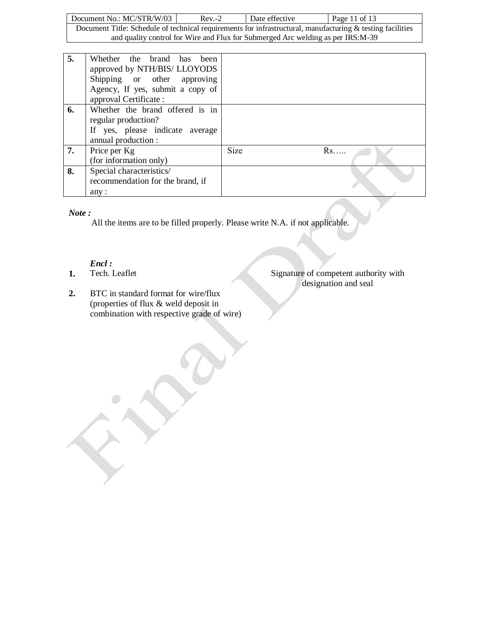Document No.: MC/STR/W/03 Rev.-2 Date effective Page 11 of 13 Document Title: Schedule of technical requirements for infrastructural, manufacturing & testing facilities and quality control for Wire and Flux for Submerged Arc welding as per IRS:M-39

| 5. | Whether the brand has<br>been<br>approved by NTH/BIS/ LLOYODS<br>Shipping or other approving<br>Agency, If yes, submit a copy of<br>approval Certificate: |             |    |
|----|-----------------------------------------------------------------------------------------------------------------------------------------------------------|-------------|----|
| 6. | Whether the brand offered is in<br>regular production?<br>If yes, please indicate average<br>annual production :                                          |             |    |
| 7. | Price per Kg<br>(for information only)                                                                                                                    | <b>Size</b> | Rs |
| 8. | Special characteristics/<br>recommendation for the brand, if<br>any:                                                                                      |             |    |

#### *Note :*

All the items are to be filled properly. Please write N.A. if not applicable.

*Encl :*

**1.** Tech. Leaflet Signature of competent authority with designation and seal

**2.** BTC in standard format for wire/flux (properties of flux & weld deposit in combination with respective grade of wire)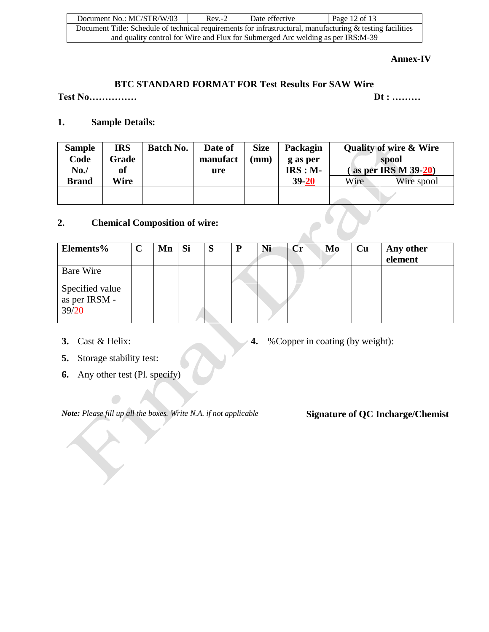| Document No.: MC/STR/W/03                                                                                     | $Rev-2$ | Date effective | Page 12 of 13 |  |  |  |  |
|---------------------------------------------------------------------------------------------------------------|---------|----------------|---------------|--|--|--|--|
| Document Title: Schedule of technical requirements for infrastructural, manufacturing $\&$ testing facilities |         |                |               |  |  |  |  |
| and quality control for Wire and Flux for Submerged Arc welding as per IRS:M-39                               |         |                |               |  |  |  |  |

#### **Annex-IV**

## **BTC STANDARD FORMAT FOR Test Results For SAW Wire**

**Test No…………… Dt : ………**

## **1. Sample Details:**

| <b>Sample</b><br>Code<br>No. | <b>IRS</b><br>Grade<br>of | <b>Batch No.</b> | Date of<br>manufact<br>ure | <b>Size</b><br>$(\mathbf{mm})$ | Packagin<br>g as per<br>$IRS : M -$ |      | <b>Quality of wire &amp; Wire</b><br>spool<br>as per IRS $M$ 39-20) |
|------------------------------|---------------------------|------------------|----------------------------|--------------------------------|-------------------------------------|------|---------------------------------------------------------------------|
| <b>Brand</b>                 | Wire                      |                  |                            |                                | $39 - 20$                           | Wire | Wire spool                                                          |
|                              |                           |                  |                            |                                |                                     |      |                                                                     |

# **2. Chemical Composition of wire:**

| 2.<br><b>Chemical Composition of wire:</b> |             |    |    |   |   |    |    |    |    |                      |
|--------------------------------------------|-------------|----|----|---|---|----|----|----|----|----------------------|
| Elements%                                  | $\mathbf C$ | Mn | Si | S | P | Ni | Cr | Mo | Cu | Any other<br>element |
| <b>Bare Wire</b>                           |             |    |    |   |   |    |    |    |    |                      |
| Specified value<br>as per IRSM -<br>39/20  |             |    |    |   |   |    |    |    |    |                      |

- 
- **3.** Cast & Helix: **4.** %Copper in coating (by weight):
- **5.** Storage stability test:
- **6.** Any other test (Pl. specify)

*Note: Please fill up all the boxes. Write N.A. if not applicable* **Signature of QC Incharge/Chemist**